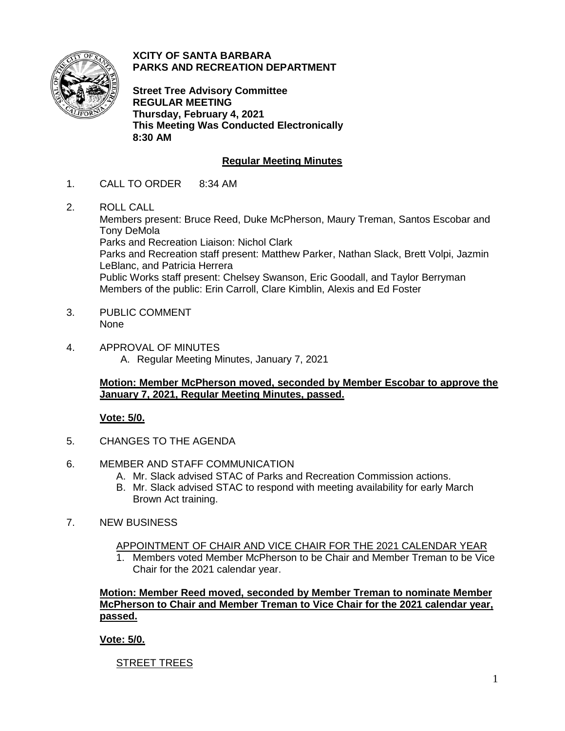

**XCITY OF SANTA BARBARA PARKS AND RECREATION DEPARTMENT**

**Street Tree Advisory Committee REGULAR MEETING Thursday, February 4, 2021 This Meeting Was Conducted Electronically 8:30 AM**

# **Regular Meeting Minutes**

- 1. CALL TO ORDER 8:34 AM
- 2. ROLL CALL

Members present: Bruce Reed, Duke McPherson, Maury Treman, Santos Escobar and Tony DeMola Parks and Recreation Liaison: Nichol Clark Parks and Recreation staff present: Matthew Parker, Nathan Slack, Brett Volpi, Jazmin LeBlanc, and Patricia Herrera Public Works staff present: Chelsey Swanson, Eric Goodall, and Taylor Berryman Members of the public: Erin Carroll, Clare Kimblin, Alexis and Ed Foster

- 3. PUBLIC COMMENT None
- 4. APPROVAL OF MINUTES A. Regular Meeting Minutes, January 7, 2021

## **Motion: Member McPherson moved, seconded by Member Escobar to approve the January 7, 2021, Regular Meeting Minutes, passed.**

## **Vote: 5/0.**

- 5. CHANGES TO THE AGENDA
- 6. MEMBER AND STAFF COMMUNICATION
	- A. Mr. Slack advised STAC of Parks and Recreation Commission actions.
	- B. Mr. Slack advised STAC to respond with meeting availability for early March Brown Act training.
- 7. NEW BUSINESS
	- APPOINTMENT OF CHAIR AND VICE CHAIR FOR THE 2021 CALENDAR YEAR
	- 1. Members voted Member McPherson to be Chair and Member Treman to be Vice Chair for the 2021 calendar year.

**Motion: Member Reed moved, seconded by Member Treman to nominate Member McPherson to Chair and Member Treman to Vice Chair for the 2021 calendar year, passed.**

## **Vote: 5/0.**

**STREET TREES**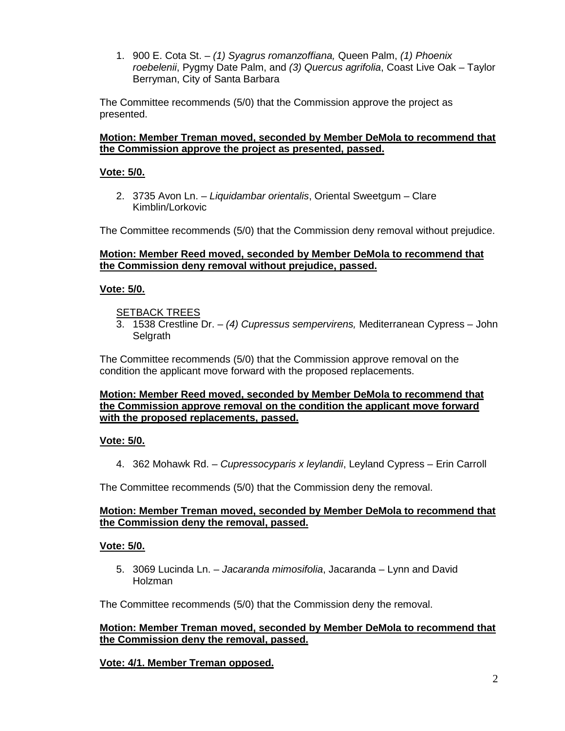1. 900 E. Cota St. – *(1) Syagrus romanzoffiana,* Queen Palm, *(1) Phoenix roebelenii*, Pygmy Date Palm, and *(3) Quercus agrifolia*, Coast Live Oak – Taylor Berryman, City of Santa Barbara

The Committee recommends (5/0) that the Commission approve the project as presented.

## **Motion: Member Treman moved, seconded by Member DeMola to recommend that the Commission approve the project as presented, passed.**

## **Vote: 5/0.**

2. 3735 Avon Ln. – *Liquidambar orientalis*, Oriental Sweetgum – Clare Kimblin/Lorkovic

The Committee recommends (5/0) that the Commission deny removal without prejudice.

## **Motion: Member Reed moved, seconded by Member DeMola to recommend that the Commission deny removal without prejudice, passed.**

## **Vote: 5/0.**

#### SETBACK TREES

3. 1538 Crestline Dr. – *(4) Cupressus sempervirens,* Mediterranean Cypress – John **Selgrath** 

The Committee recommends (5/0) that the Commission approve removal on the condition the applicant move forward with the proposed replacements.

#### **Motion: Member Reed moved, seconded by Member DeMola to recommend that the Commission approve removal on the condition the applicant move forward with the proposed replacements, passed.**

#### **Vote: 5/0.**

4. 362 Mohawk Rd. – *Cupressocyparis x leylandii*, Leyland Cypress – Erin Carroll

The Committee recommends (5/0) that the Commission deny the removal.

#### **Motion: Member Treman moved, seconded by Member DeMola to recommend that the Commission deny the removal, passed.**

#### **Vote: 5/0.**

5. 3069 Lucinda Ln. – *Jacaranda mimosifolia*, Jacaranda – Lynn and David Holzman

The Committee recommends (5/0) that the Commission deny the removal.

## **Motion: Member Treman moved, seconded by Member DeMola to recommend that the Commission deny the removal, passed.**

#### **Vote: 4/1. Member Treman opposed.**